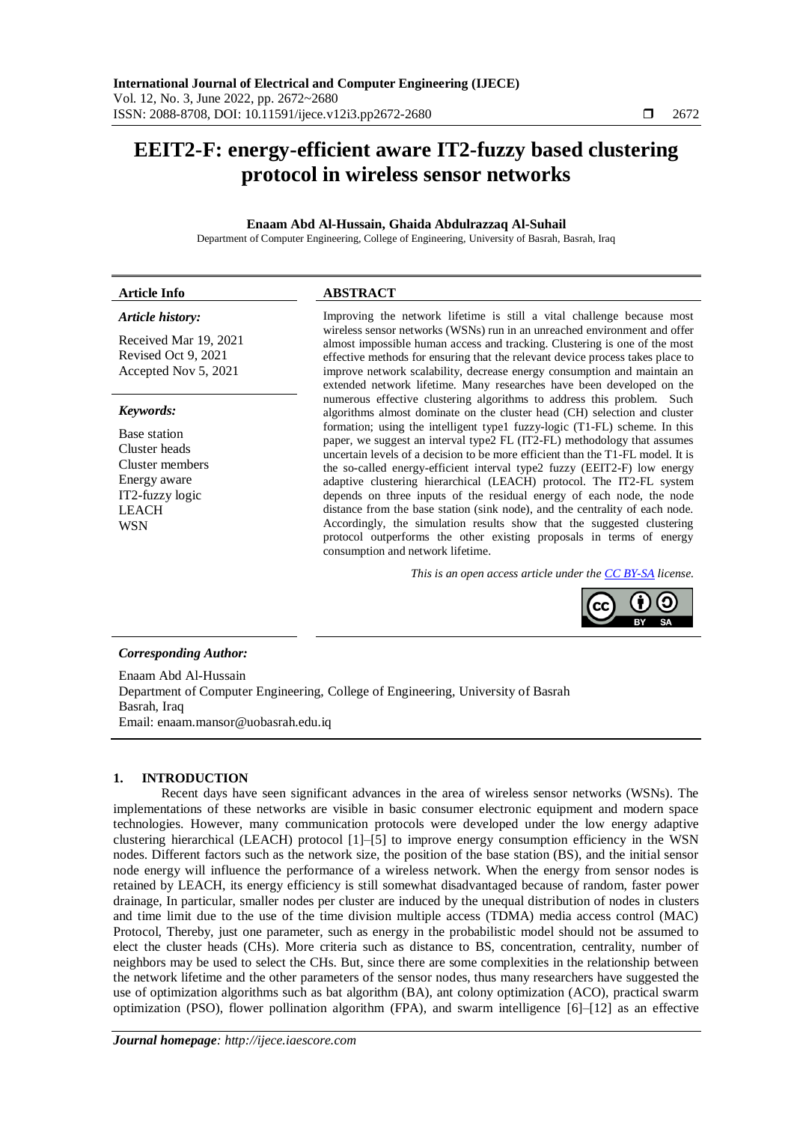# **EEIT2-F: energy-efficient aware IT2-fuzzy based clustering protocol in wireless sensor networks**

# **Enaam Abd Al-Hussain, Ghaida Abdulrazzaq Al-Suhail**

Department of Computer Engineering, College of Engineering, University of Basrah, Basrah, Iraq

# **Article Info ABSTRACT**

# *Article history:*

Received Mar 19, 2021 Revised Oct 9, 2021 Accepted Nov 5, 2021

# *Keywords:*

Base station Cluster heads Cluster members Energy aware IT2-fuzzy logic LEACH **WSN** 

Improving the network lifetime is still a vital challenge because most wireless sensor networks (WSNs) run in an unreached environment and offer almost impossible human access and tracking. Clustering is one of the most effective methods for ensuring that the relevant device process takes place to improve network scalability, decrease energy consumption and maintain an extended network lifetime. Many researches have been developed on the numerous effective clustering algorithms to address this problem. Such algorithms almost dominate on the cluster head (CH) selection and cluster formation; using the intelligent type1 fuzzy-logic (T1-FL) scheme. In this paper, we suggest an interval type2 FL (IT2-FL) methodology that assumes uncertain levels of a decision to be more efficient than the T1-FL model. It is the so-called energy-efficient interval type2 fuzzy (EEIT2-F) low energy adaptive clustering hierarchical (LEACH) protocol. The IT2-FL system depends on three inputs of the residual energy of each node, the node distance from the base station (sink node), and the centrality of each node. Accordingly, the simulation results show that the suggested clustering protocol outperforms the other existing proposals in terms of energy consumption and network lifetime.

*This is an open access article under th[e CC BY-SA](https://creativecommons.org/licenses/by-sa/4.0/) license.*



# *Corresponding Author:*

Enaam Abd Al-Hussain Department of Computer Engineering, College of Engineering, University of Basrah Basrah, Iraq Email: enaam.mansor@uobasrah.edu.iq

# **1. INTRODUCTION**

Recent days have seen significant advances in the area of wireless sensor networks (WSNs). The implementations of these networks are visible in basic consumer electronic equipment and modern space technologies. However, many communication protocols were developed under the low energy adaptive clustering hierarchical (LEACH) protocol [1]–[5] to improve energy consumption efficiency in the WSN nodes. Different factors such as the network size, the position of the base station (BS), and the initial sensor node energy will influence the performance of a wireless network. When the energy from sensor nodes is retained by LEACH, its energy efficiency is still somewhat disadvantaged because of random, faster power drainage, In particular, smaller nodes per cluster are induced by the unequal distribution of nodes in clusters and time limit due to the use of the time division multiple access (TDMA) media access control (MAC) Protocol, Thereby, just one parameter, such as energy in the probabilistic model should not be assumed to elect the cluster heads (CHs). More criteria such as distance to BS, concentration, centrality, number of neighbors may be used to select the CHs. But, since there are some complexities in the relationship between the network lifetime and the other parameters of the sensor nodes, thus many researchers have suggested the use of optimization algorithms such as bat algorithm (BA), ant colony optimization (ACO), practical swarm optimization (PSO), flower pollination algorithm (FPA), and swarm intelligence [6]–[12] as an effective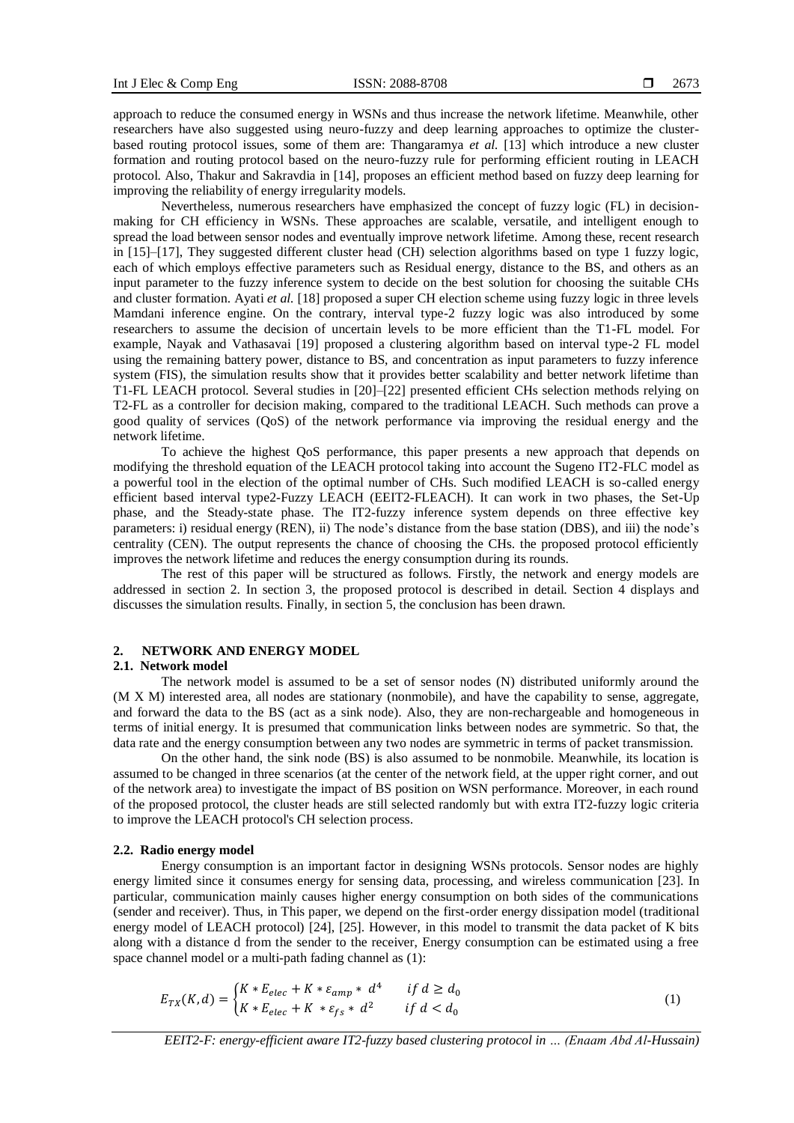approach to reduce the consumed energy in WSNs and thus increase the network lifetime. Meanwhile, other researchers have also suggested using neuro-fuzzy and deep learning approaches to optimize the clusterbased routing protocol issues, some of them are: Thangaramya *et al.* [13] which introduce a new cluster formation and routing protocol based on the neuro-fuzzy rule for performing efficient routing in LEACH protocol. Also, Thakur and Sakravdia in [14], proposes an efficient method based on fuzzy deep learning for improving the reliability of energy irregularity models.

Nevertheless, numerous researchers have emphasized the concept of fuzzy logic (FL) in decisionmaking for CH efficiency in WSNs. These approaches are scalable, versatile, and intelligent enough to spread the load between sensor nodes and eventually improve network lifetime. Among these, recent research in [15]–[17], They suggested different cluster head (CH) selection algorithms based on type 1 fuzzy logic, each of which employs effective parameters such as Residual energy, distance to the BS, and others as an input parameter to the fuzzy inference system to decide on the best solution for choosing the suitable CHs and cluster formation. Ayati *et al.* [18] proposed a super CH election scheme using fuzzy logic in three levels Mamdani inference engine. On the contrary, interval type-2 fuzzy logic was also introduced by some researchers to assume the decision of uncertain levels to be more efficient than the T1-FL model. For example, Nayak and Vathasavai [19] proposed a clustering algorithm based on interval type-2 FL model using the remaining battery power, distance to BS, and concentration as input parameters to fuzzy inference system (FIS), the simulation results show that it provides better scalability and better network lifetime than T1-FL LEACH protocol. Several studies in [20]–[22] presented efficient CHs selection methods relying on T2-FL as a controller for decision making, compared to the traditional LEACH. Such methods can prove a good quality of services (QoS) of the network performance via improving the residual energy and the network lifetime.

To achieve the highest QoS performance, this paper presents a new approach that depends on modifying the threshold equation of the LEACH protocol taking into account the Sugeno IT2-FLC model as a powerful tool in the election of the optimal number of CHs. Such modified LEACH is so-called energy efficient based interval type2-Fuzzy LEACH (EEIT2-FLEACH). It can work in two phases, the Set-Up phase, and the Steady-state phase. The IT2-fuzzy inference system depends on three effective key parameters: i) residual energy (REN), ii) The node's distance from the base station (DBS), and iii) the node's centrality (CEN). The output represents the chance of choosing the CHs. the proposed protocol efficiently improves the network lifetime and reduces the energy consumption during its rounds.

The rest of this paper will be structured as follows. Firstly, the network and energy models are addressed in section 2. In section 3, the proposed protocol is described in detail. Section 4 displays and discusses the simulation results. Finally, in section 5, the conclusion has been drawn.

# **2. NETWORK AND ENERGY MODEL**

# **2.1. Network model**

The network model is assumed to be a set of sensor nodes (N) distributed uniformly around the (M X M) interested area, all nodes are stationary (nonmobile), and have the capability to sense, aggregate, and forward the data to the BS (act as a sink node). Also, they are non-rechargeable and homogeneous in terms of initial energy. It is presumed that communication links between nodes are symmetric. So that, the data rate and the energy consumption between any two nodes are symmetric in terms of packet transmission.

On the other hand, the sink node (BS) is also assumed to be nonmobile. Meanwhile, its location is assumed to be changed in three scenarios (at the center of the network field, at the upper right corner, and out of the network area) to investigate the impact of BS position on WSN performance. Moreover, in each round of the proposed protocol, the cluster heads are still selected randomly but with extra IT2-fuzzy logic criteria to improve the LEACH protocol's CH selection process.

#### **2.2. Radio energy model**

Energy consumption is an important factor in designing WSNs protocols. Sensor nodes are highly energy limited since it consumes energy for sensing data, processing, and wireless communication [23]. In particular, communication mainly causes higher energy consumption on both sides of the communications (sender and receiver). Thus, in This paper, we depend on the first-order energy dissipation model (traditional energy model of LEACH protocol) [24], [25]. However, in this model to transmit the data packet of K bits along with a distance d from the sender to the receiver, Energy consumption can be estimated using a free space channel model or a multi-path fading channel as (1):

$$
E_{TX}(K,d) = \begin{cases} K * E_{elec} + K * \varepsilon_{amp} * d^4 & \text{if } d \ge d_0 \\ K * E_{elec} + K * \varepsilon_{fs} * d^2 & \text{if } d < d_0 \end{cases} \tag{1}
$$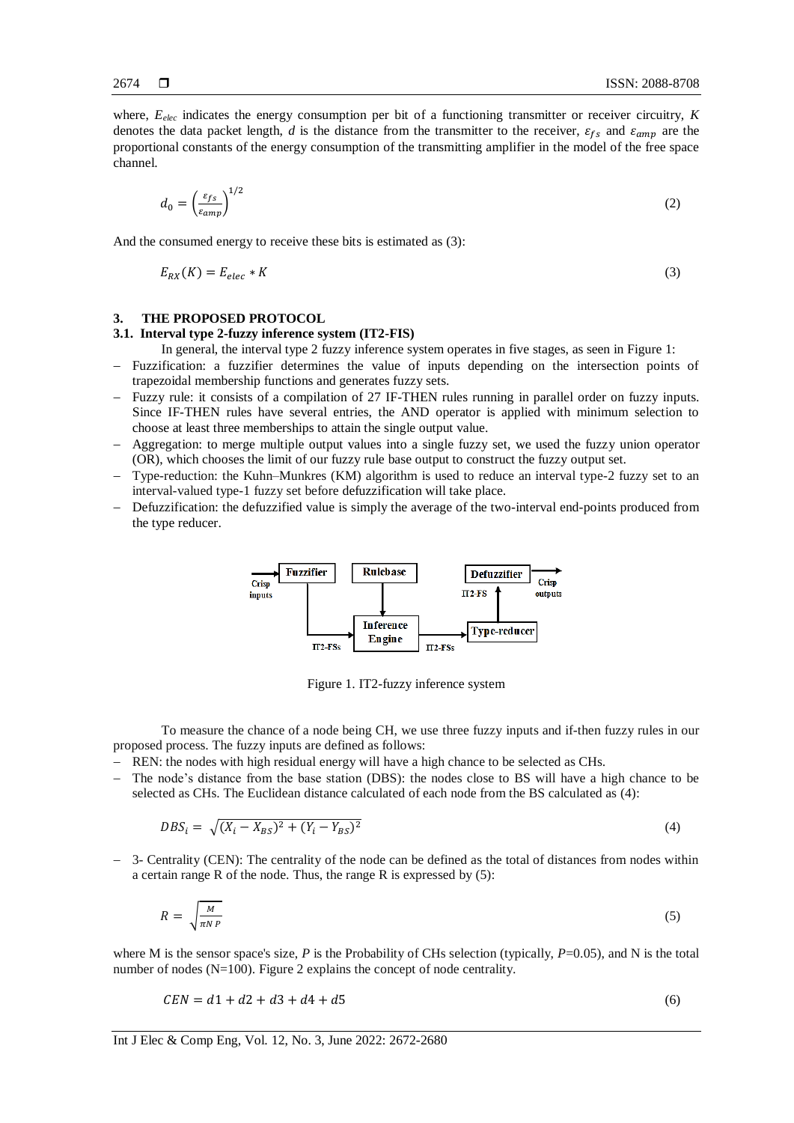where,  $E_{elec}$  indicates the energy consumption per bit of a functioning transmitter or receiver circuitry,  $K$ denotes the data packet length, *d* is the distance from the transmitter to the receiver,  $\varepsilon_{fs}$  and  $\varepsilon_{amp}$  are the proportional constants of the energy consumption of the transmitting amplifier in the model of the free space channel.

$$
d_0 = \left(\frac{\varepsilon_{fs}}{\varepsilon_{amp}}\right)^{1/2} \tag{2}
$$

And the consumed energy to receive these bits is estimated as (3):

$$
E_{RX}(K) = E_{elec} * K \tag{3}
$$

# **3. THE PROPOSED PROTOCOL**

# **3.1. Interval type 2-fuzzy inference system (IT2-FIS)**

In general, the interval type 2 fuzzy inference system operates in five stages, as seen in Figure 1:

- − Fuzzification: a fuzzifier determines the value of inputs depending on the intersection points of trapezoidal membership functions and generates fuzzy sets.
- − Fuzzy rule: it consists of a compilation of 27 IF-THEN rules running in parallel order on fuzzy inputs. Since IF-THEN rules have several entries, the AND operator is applied with minimum selection to choose at least three memberships to attain the single output value.
- − Aggregation: to merge multiple output values into a single fuzzy set, we used the fuzzy union operator (OR), which chooses the limit of our fuzzy rule base output to construct the fuzzy output set.
- − Type-reduction: the Kuhn–Munkres (KM) algorithm is used to reduce an interval type-2 fuzzy set to an interval-valued type-1 fuzzy set before defuzzification will take place.
- − Defuzzification: the defuzzified value is simply the average of the two-interval end-points produced from the type reducer.



Figure 1. IT2-fuzzy inference system

To measure the chance of a node being CH, we use three fuzzy inputs and if-then fuzzy rules in our proposed process. The fuzzy inputs are defined as follows:

− REN: the nodes with high residual energy will have a high chance to be selected as CHs.

The node's distance from the base station (DBS): the nodes close to BS will have a high chance to be selected as CHs. The Euclidean distance calculated of each node from the BS calculated as (4):

$$
DBS_i = \sqrt{(X_i - X_{BS})^2 + (Y_i - Y_{BS})^2}
$$
\n(4)

− 3- Centrality (CEN): The centrality of the node can be defined as the total of distances from nodes within a certain range R of the node. Thus, the range R is expressed by (5):

$$
R = \sqrt{\frac{M}{\pi N P}}
$$
 (5)

where M is the sensor space's size,  $P$  is the Probability of CHs selection (typically,  $P=0.05$ ), and N is the total number of nodes (N=100). Figure 2 explains the concept of node centrality.

$$
CEN = d1 + d2 + d3 + d4 + d5 \tag{6}
$$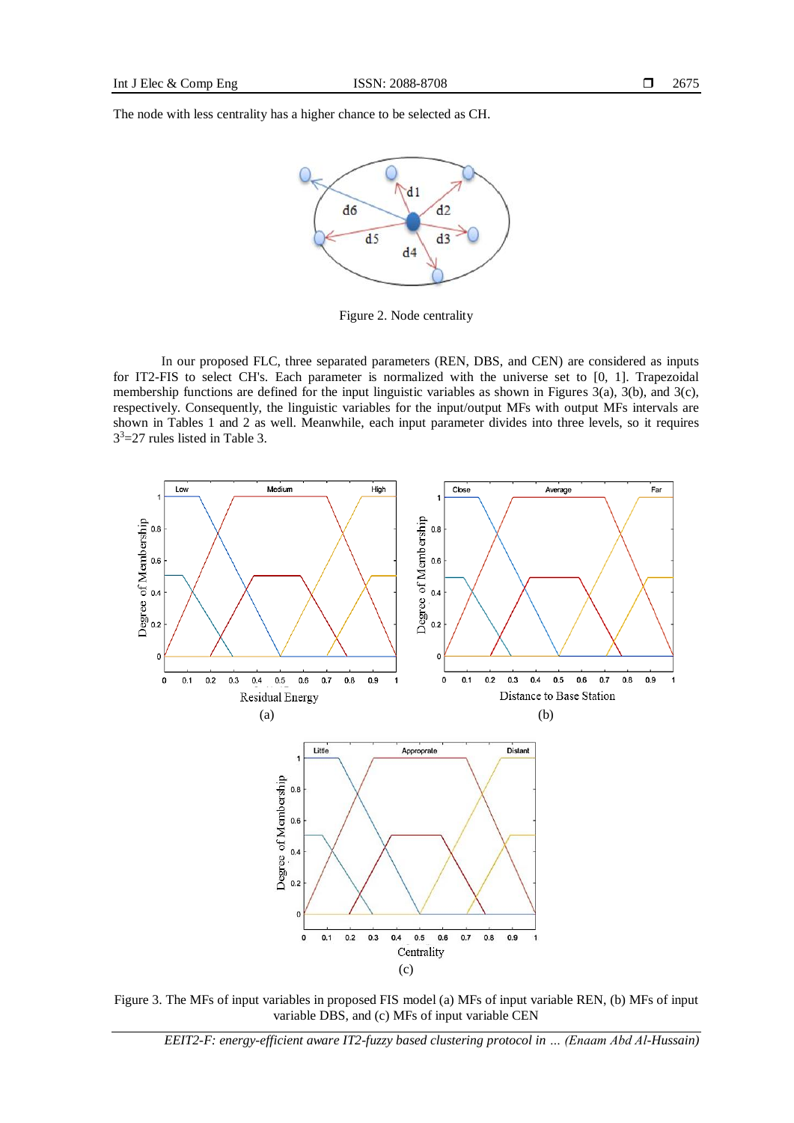The node with less centrality has a higher chance to be selected as CH.



Figure 2. Node centrality

In our proposed FLC, three separated parameters (REN, DBS, and CEN) are considered as inputs for IT2-FIS to select CH's. Each parameter is normalized with the universe set to [0, 1]. Trapezoidal membership functions are defined for the input linguistic variables as shown in Figures 3(a), 3(b), and 3(c), respectively. Consequently, the linguistic variables for the input/output MFs with output MFs intervals are shown in Tables 1 and 2 as well. Meanwhile, each input parameter divides into three levels, so it requires 3 <sup>3</sup>=27 rules listed in Table 3.



Figure 3. The MFs of input variables in proposed FIS model (a) MFs of input variable REN, (b) MFs of input variable DBS, and (c) MFs of input variable CEN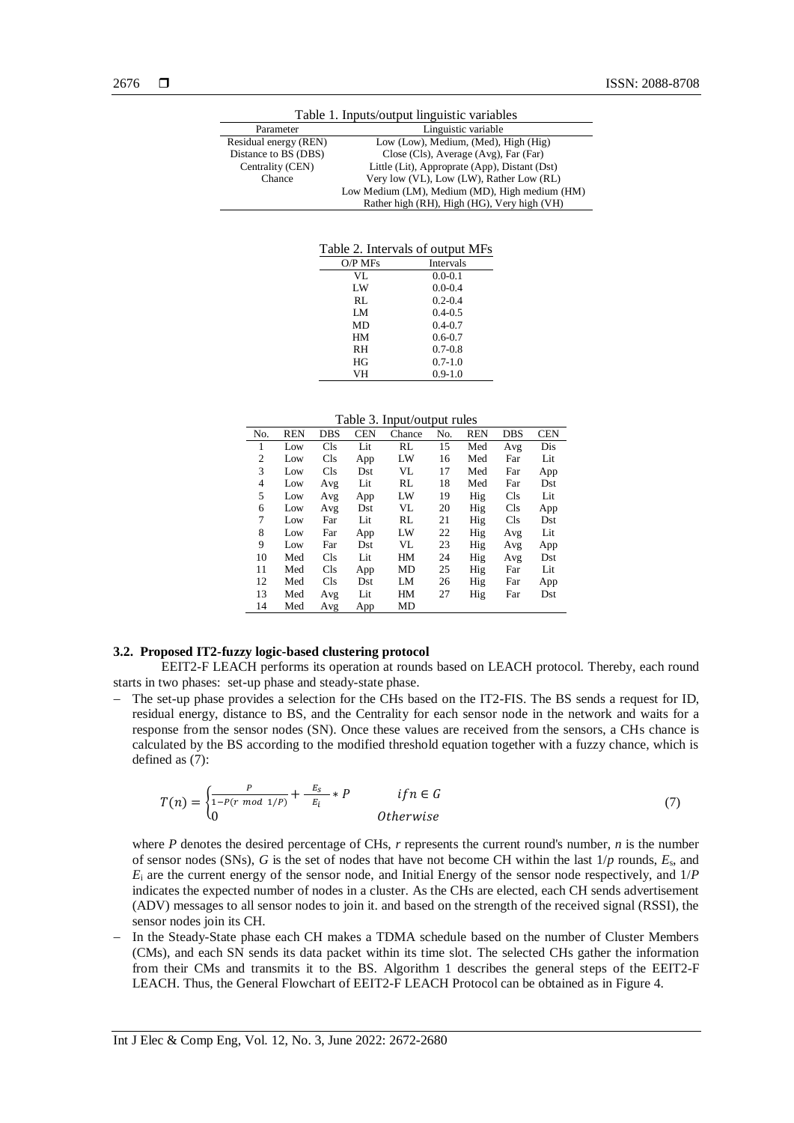| Table 1. Inputs/output linguistic variables |                                                |  |  |  |
|---------------------------------------------|------------------------------------------------|--|--|--|
| Parameter                                   | Linguistic variable                            |  |  |  |
| Residual energy (REN)                       | Low (Low), Medium, (Med), High (Hig)           |  |  |  |
| Distance to BS (DBS)                        | Close (Cls), Average (Avg), Far (Far)          |  |  |  |
| Centrality (CEN)                            | Little (Lit), Approprate (App), Distant (Dst)  |  |  |  |
| Chance                                      | Very low (VL), Low (LW), Rather Low (RL)       |  |  |  |
|                                             | Low Medium (LM), Medium (MD), High medium (HM) |  |  |  |
|                                             | Rather high (RH), High (HG), Very high (VH)    |  |  |  |

Table 2. Intervals of output MFs

| $O/P$ MFs | Intervals   |
|-----------|-------------|
| VI.       | $0.0 - 0.1$ |
| LW        | $0.0 - 0.4$ |
| RL.       | $0.2 - 0.4$ |
| LM        | $0.4 - 0.5$ |
| MD        | $0.4 - 0.7$ |
| HМ        | $0.6 - 0.7$ |
| RH        | $0.7 - 0.8$ |
| HG        | $0.7 - 1.0$ |
| VH        | $0.9 - 1.0$ |

Table 3. Input/output rules

| No. | <b>REN</b> | <b>DBS</b> | <b>CEN</b> | raore 5: mpau output rance<br>Chance | No. | <b>REN</b> | <b>DBS</b> | <b>CEN</b> |
|-----|------------|------------|------------|--------------------------------------|-----|------------|------------|------------|
| 1   | Low        | Cls        | Lit        | RL                                   | 15  | Med        | Avg        | Dis        |
| 2   | Low        | Cls        | App        | LW                                   | 16  | Med        | Far        | Lit        |
| 3   | Low        | Cls        | Dst        | VL                                   | 17  | Med        | Far        | App        |
| 4   | Low        | Avg        | Lit        | RL                                   | 18  | Med        | Far        | Dst        |
| 5   | Low        | Avg        | App        | LW                                   | 19  | Hig        | <b>Cls</b> | Lit        |
| 6   | Low        | Avg        | Dst        | VL                                   | 20  | Hig        | <b>Cls</b> | App        |
| 7   | Low        | Far        | Lit        | RL                                   | 21  | Hig        | <b>Cls</b> | Dst        |
| 8   | Low        | Far        | App        | LW                                   | 22  | Hig        | Avg        | Lit        |
| 9   | Low        | Far        | Dst        | VL                                   | 23  | Hig        | Avg        | App        |
| 10  | Med        | Cls        | Lit        | HM                                   | 24  | Hig        | Avg        | Dst        |
| 11  | Med        | Cls        | App        | MD                                   | 25  | Hig        | Far        | Lit        |
| 12  | Med        | Cls        | Dst        | LM                                   | 26  | Hig        | Far        | App        |
| 13  | Med        | Avg        | Lit        | HM                                   | 27  | Hig        | Far        | Dst        |
| 14  | Med        | Avg        | App        | MD                                   |     |            |            |            |

# **3.2. Proposed IT2-fuzzy logic-based clustering protocol**

EEIT2-F LEACH performs its operation at rounds based on LEACH protocol. Thereby, each round starts in two phases: set-up phase and steady-state phase.

− The set-up phase provides a selection for the CHs based on the IT2-FIS. The BS sends a request for ID, residual energy, distance to BS, and the Centrality for each sensor node in the network and waits for a response from the sensor nodes (SN). Once these values are received from the sensors, a CHs chance is calculated by the BS according to the modified threshold equation together with a fuzzy chance, which is defined as (7):

$$
T(n) = \begin{cases} \frac{P}{1 - P(r \mod 1/P)} + \frac{E_S}{E_i} * P & \text{if } n \in G\\ 0 & \text{Otherwise} \end{cases}
$$
(7)

where *P* denotes the desired percentage of CHs, *r* represents the current round's number, *n* is the number of sensor nodes (SNs), *G* is the set of nodes that have not become CH within the last 1/*p* rounds, *E*s, and *E*<sup>i</sup> are the current energy of the sensor node, and Initial Energy of the sensor node respectively, and 1/*P*  indicates the expected number of nodes in a cluster. As the CHs are elected, each CH sends advertisement (ADV) messages to all sensor nodes to join it. and based on the strength of the received signal (RSSI), the sensor nodes join its CH.

− In the Steady-State phase each CH makes a TDMA schedule based on the number of Cluster Members (CMs), and each SN sends its data packet within its time slot. The selected CHs gather the information from their CMs and transmits it to the BS. Algorithm 1 describes the general steps of the EEIT2-F LEACH. Thus, the General Flowchart of EEIT2-F LEACH Protocol can be obtained as in Figure 4.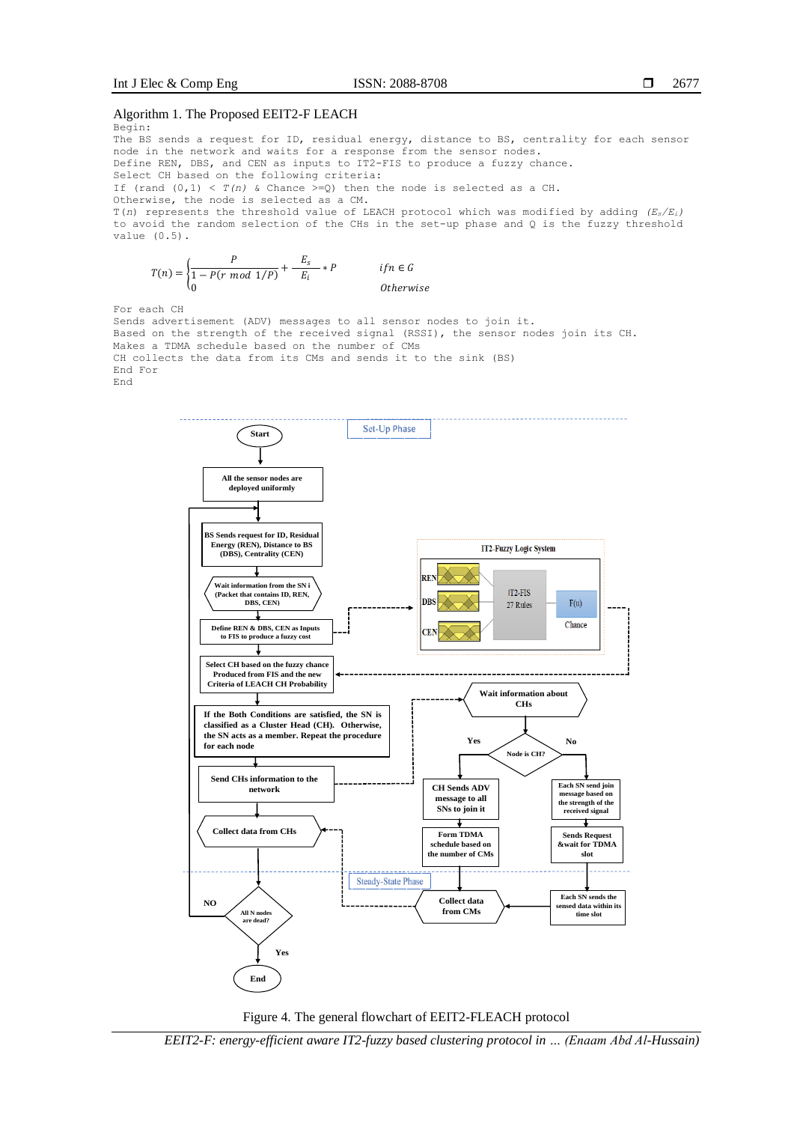#### Algorithm 1. The Proposed EEIT2-F LEACH Begin:

The BS sends a request for ID, residual energy, distance to BS, centrality for each sensor node in the network and waits for a response from the sensor nodes.

Define REN, DBS, and CEN as inputs to IT2-FIS to produce a fuzzy chance.

Select CH based on the following criteria:

If (rand  $(0,1) < T(n)$  & Chance  $>=0$ ) then the node is selected as a CH.

Otherwise, the node is selected as a CM.

T(*n*) represents the threshold value of LEACH protocol which was modified by adding *(Es/Ei)* to avoid the random selection of the CHs in the set-up phase and Q is the fuzzy threshold value (0.5).

$$
T(n) = \begin{cases} \frac{P}{1 - P(r \mod 1/P)} + \frac{E_s}{E_i} * P & \text{if } n \in G\\ 0 & \text{otherwise} \end{cases}
$$

For each CH

Sends advertisement (ADV) messages to all sensor nodes to join it. Based on the strength of the received signal (RSSI), the sensor nodes join its CH. Makes a TDMA schedule based on the number of CMs CH collects the data from its CMs and sends it to the sink (BS) End For End





*EEIT2-F: energy-efficient aware IT2-fuzzy based clustering protocol in … (Enaam Abd Al-Hussain)*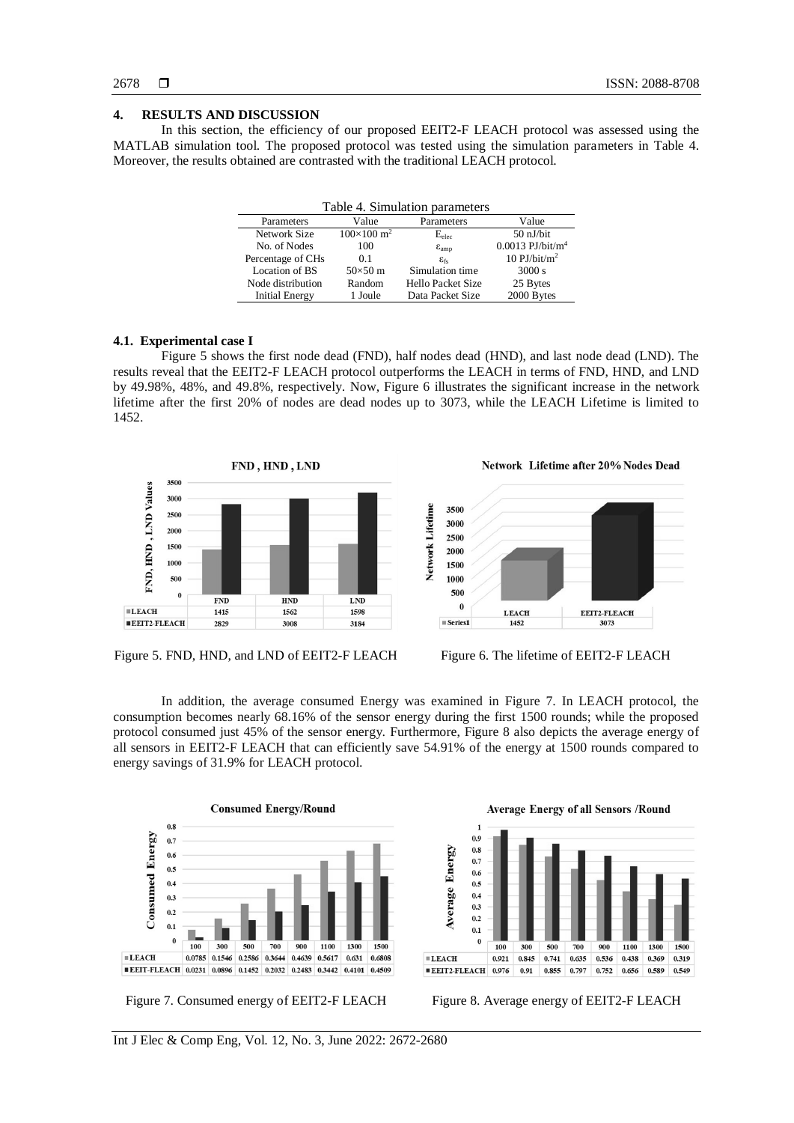# 2678

# **4. RESULTS AND DISCUSSION**

In this section, the efficiency of our proposed EEIT2-F LEACH protocol was assessed using the MATLAB simulation tool. The proposed protocol was tested using the simulation parameters in Table 4. Moreover, the results obtained are contrasted with the traditional LEACH protocol.

| Table 4. Simulation parameters |                            |                              |                                |  |  |  |  |
|--------------------------------|----------------------------|------------------------------|--------------------------------|--|--|--|--|
| Parameters                     | Value                      | Parameters                   | Value                          |  |  |  |  |
| Network Size                   | $100\times100 \text{ m}^2$ | $E_{elec}$                   | $50$ nJ/bit                    |  |  |  |  |
| No. of Nodes                   | 100                        | $\varepsilon$ <sub>amp</sub> | $0.0013$ PJ/bit/m <sup>4</sup> |  |  |  |  |
| Percentage of CHs              | 0.1                        | $\varepsilon_{\rm fc}$       | 10 $PJ/bit/m2$                 |  |  |  |  |
| Location of BS                 | $50\times50$ m             | Simulation time              | 3000 s                         |  |  |  |  |
| Node distribution              | Random                     | Hello Packet Size            | 25 Bytes                       |  |  |  |  |
| <b>Initial Energy</b>          | 1 Joule                    | Data Packet Size             | 2000 Bytes                     |  |  |  |  |

# **4.1. Experimental case I**

Figure 5 shows the first node dead (FND), half nodes dead (HND), and last node dead (LND). The results reveal that the EEIT2-F LEACH protocol outperforms the LEACH in terms of FND, HND, and LND by 49.98%, 48%, and 49.8%, respectively. Now, Figure 6 illustrates the significant increase in the network lifetime after the first 20% of nodes are dead nodes up to 3073, while the LEACH Lifetime is limited to 1452.



Figure 5. FND, HND, and LND of EEIT2-F LEACH Figure 6. The lifetime of EEIT2-F LEACH

Network Lifetime after 20% Nodes Dead



In addition, the average consumed Energy was examined in Figure 7. In LEACH protocol, the consumption becomes nearly 68.16% of the sensor energy during the first 1500 rounds; while the proposed protocol consumed just 45% of the sensor energy. Furthermore, Figure 8 also depicts the average energy of all sensors in EEIT2-F LEACH that can efficiently save 54.91% of the energy at 1500 rounds compared to energy savings of 31.9% for LEACH protocol.



Figure 7. Consumed energy of EEIT2-F LEACH Figure 8. Average energy of EEIT2-F LEACH

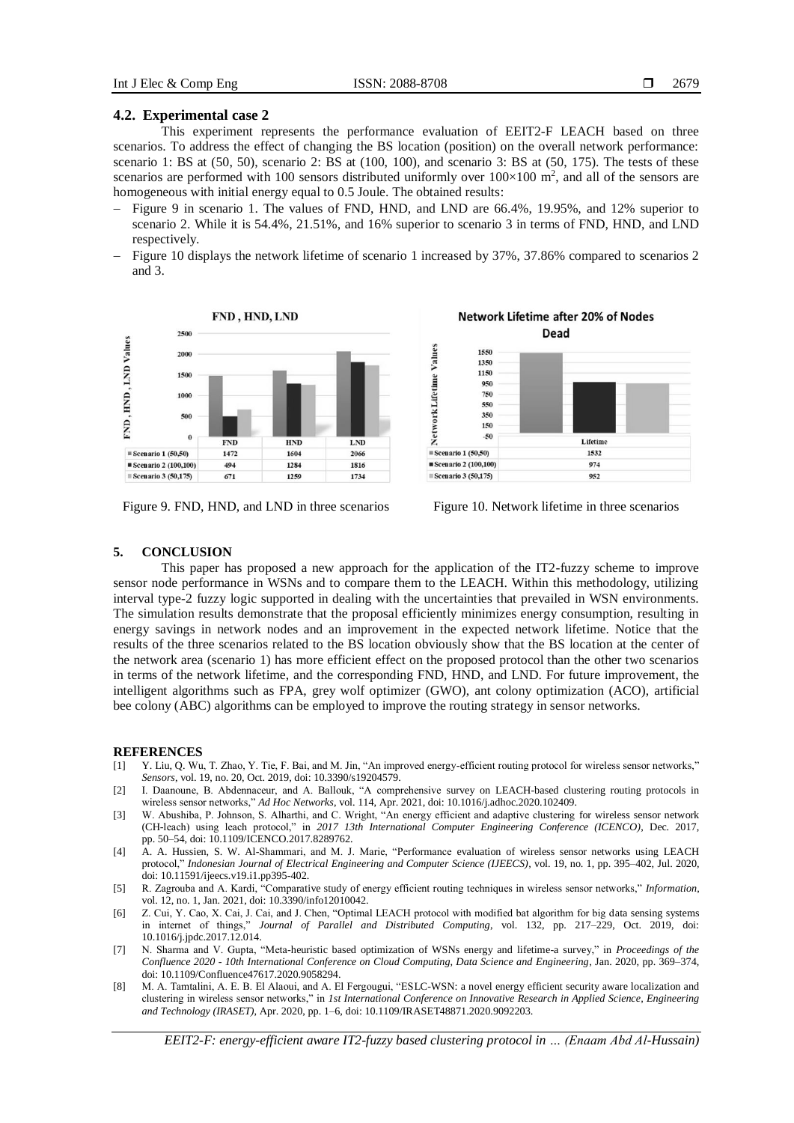#### **4.2. Experimental case 2**

This experiment represents the performance evaluation of EEIT2-F LEACH based on three scenarios. To address the effect of changing the BS location (position) on the overall network performance: scenario 1: BS at (50, 50), scenario 2: BS at (100, 100), and scenario 3: BS at (50, 175). The tests of these scenarios are performed with 100 sensors distributed uniformly over  $100\times100$  m<sup>2</sup>, and all of the sensors are homogeneous with initial energy equal to 0.5 Joule. The obtained results:

- − Figure 9 in scenario 1. The values of FND, HND, and LND are 66.4%, 19.95%, and 12% superior to scenario 2. While it is 54.4%, 21.51%, and 16% superior to scenario 3 in terms of FND, HND, and LND respectively.
- − Figure 10 displays the network lifetime of scenario 1 increased by 37%, 37.86% compared to scenarios 2 and 3.



Figure 9. FND, HND, and LND in three scenarios Figure 10. Network lifetime in three scenarios



# **5. CONCLUSION**

This paper has proposed a new approach for the application of the IT2-fuzzy scheme to improve sensor node performance in WSNs and to compare them to the LEACH. Within this methodology, utilizing interval type-2 fuzzy logic supported in dealing with the uncertainties that prevailed in WSN environments. The simulation results demonstrate that the proposal efficiently minimizes energy consumption, resulting in energy savings in network nodes and an improvement in the expected network lifetime. Notice that the results of the three scenarios related to the BS location obviously show that the BS location at the center of the network area (scenario 1) has more efficient effect on the proposed protocol than the other two scenarios in terms of the network lifetime, and the corresponding FND, HND, and LND. For future improvement, the intelligent algorithms such as FPA, grey wolf optimizer (GWO), ant colony optimization (ACO), artificial bee colony (ABC) algorithms can be employed to improve the routing strategy in sensor networks.

#### **REFERENCES**

- [1] Y. Liu, Q. Wu, T. Zhao, Y. Tie, F. Bai, and M. Jin, "An improved energy-efficient routing protocol for wireless sensor networks," *Sensors*, vol. 19, no. 20, Oct. 2019, doi: 10.3390/s19204579.
- [2] I. Daanoune, B. Abdennaceur, and A. Ballouk, "A comprehensive survey on LEACH-based clustering routing protocols in wireless sensor networks," *Ad Hoc Networks*, vol. 114, Apr. 2021, doi: 10.1016/j.adhoc.2020.102409.
- [3] W. Abushiba, P. Johnson, S. Alharthi, and C. Wright, "An energy efficient and adaptive clustering for wireless sensor network (CH-leach) using leach protocol," in *2017 13th International Computer Engineering Conference (ICENCO)*, Dec. 2017, pp. 50–54, doi: 10.1109/ICENCO.2017.8289762.
- [4] A. A. Hussien, S. W. Al-Shammari, and M. J. Marie, "Performance evaluation of wireless sensor networks using LEACH protocol," *Indonesian Journal of Electrical Engineering and Computer Science (IJEECS)*, vol. 19, no. 1, pp. 395–402, Jul. 2020, doi: 10.11591/ijeecs.v19.i1.pp395-402.
- [5] R. Zagrouba and A. Kardi, "Comparative study of energy efficient routing techniques in wireless sensor networks," *Information*, vol. 12, no. 1, Jan. 2021, doi: 10.3390/info12010042.
- [6] Z. Cui, Y. Cao, X. Cai, J. Cai, and J. Chen, "Optimal LEACH protocol with modified bat algorithm for big data sensing systems in internet of things," *Journal of Parallel and Distributed Computing*, vol. 132, pp. 217–229, Oct. 2019, doi: 10.1016/j.jpdc.2017.12.014.
- [7] N. Sharma and V. Gupta, "Meta-heuristic based optimization of WSNs energy and lifetime-a survey," in *Proceedings of the Confluence 2020 - 10th International Conference on Cloud Computing, Data Science and Engineering*, Jan. 2020, pp. 369–374, doi: 10.1109/Confluence47617.2020.9058294.
- [8] M. A. Tamtalini, A. E. B. El Alaoui, and A. El Fergougui, "ESLC-WSN: a novel energy efficient security aware localization and clustering in wireless sensor networks," in *1st International Conference on Innovative Research in Applied Science, Engineering and Technology (IRASET)*, Apr. 2020, pp. 1–6, doi: 10.1109/IRASET48871.2020.9092203.